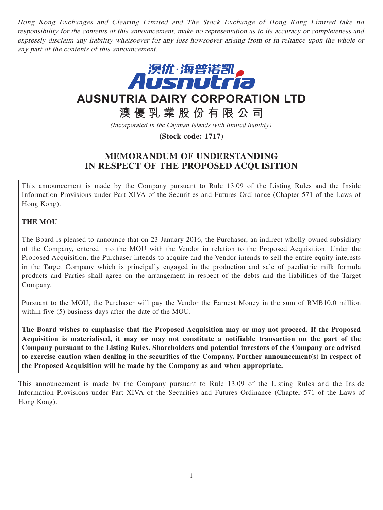Hong Kong Exchanges and Clearing Limited and The Stock Exchange of Hong Kong Limited take no responsibility for the contents of this announcement, make no representation as to its accuracy or completeness and expressly disclaim any liability whatsoever for any loss howsoever arising from or in reliance upon the whole or any part of the contents of this announcement.



**AUSNUTRIA DAIRY CORPORATION LTD**

**澳優乳業股份有限公司**

(Incorporated in the Cayman Islands with limited liability)

**(Stock code: 1717)**

# **MEMORANDUM OF UNDERSTANDING IN RESPECT OF THE PROPOSED ACQUISITION**

This announcement is made by the Company pursuant to Rule 13.09 of the Listing Rules and the Inside Information Provisions under Part XIVA of the Securities and Futures Ordinance (Chapter 571 of the Laws of Hong Kong).

## **THE MOU**

The Board is pleased to announce that on 23 January 2016, the Purchaser, an indirect wholly-owned subsidiary of the Company, entered into the MOU with the Vendor in relation to the Proposed Acquisition. Under the Proposed Acquisition, the Purchaser intends to acquire and the Vendor intends to sell the entire equity interests in the Target Company which is principally engaged in the production and sale of paediatric milk formula products and Parties shall agree on the arrangement in respect of the debts and the liabilities of the Target Company.

Pursuant to the MOU, the Purchaser will pay the Vendor the Earnest Money in the sum of RMB10.0 million within five (5) business days after the date of the MOU.

**The Board wishes to emphasise that the Proposed Acquisition may or may not proceed. If the Proposed Acquisition is materialised, it may or may not constitute a notifiable transaction on the part of the Company pursuant to the Listing Rules. Shareholders and potential investors of the Company are advised to exercise caution when dealing in the securities of the Company. Further announcement(s) in respect of the Proposed Acquisition will be made by the Company as and when appropriate.**

This announcement is made by the Company pursuant to Rule 13.09 of the Listing Rules and the Inside Information Provisions under Part XIVA of the Securities and Futures Ordinance (Chapter 571 of the Laws of Hong Kong).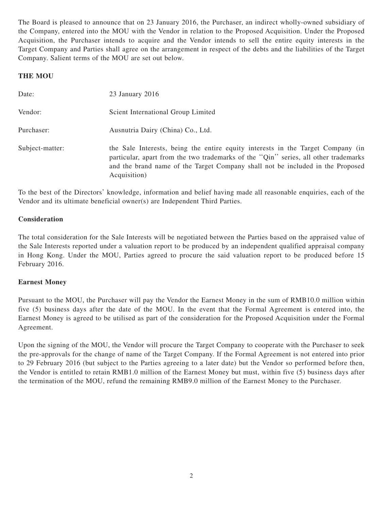The Board is pleased to announce that on 23 January 2016, the Purchaser, an indirect wholly-owned subsidiary of the Company, entered into the MOU with the Vendor in relation to the Proposed Acquisition. Under the Proposed Acquisition, the Purchaser intends to acquire and the Vendor intends to sell the entire equity interests in the Target Company and Parties shall agree on the arrangement in respect of the debts and the liabilities of the Target Company. Salient terms of the MOU are set out below.

## **THE MOU**

| Date:           | $23$ January $2016$                                                                                                                                                                                                                                                      |
|-----------------|--------------------------------------------------------------------------------------------------------------------------------------------------------------------------------------------------------------------------------------------------------------------------|
| Vendor:         | Scient International Group Limited                                                                                                                                                                                                                                       |
| Purchaser:      | Ausnutria Dairy (China) Co., Ltd.                                                                                                                                                                                                                                        |
| Subject-matter: | the Sale Interests, being the entire equity interests in the Target Company (in<br>particular, apart from the two trademarks of the "Qin" series, all other trademarks<br>and the brand name of the Target Company shall not be included in the Proposed<br>Acquisition) |

To the best of the Directors' knowledge, information and belief having made all reasonable enquiries, each of the Vendor and its ultimate beneficial owner(s) are Independent Third Parties.

### **Consideration**

The total consideration for the Sale Interests will be negotiated between the Parties based on the appraised value of the Sale Interests reported under a valuation report to be produced by an independent qualified appraisal company in Hong Kong. Under the MOU, Parties agreed to procure the said valuation report to be produced before 15 February 2016.

#### **Earnest Money**

Pursuant to the MOU, the Purchaser will pay the Vendor the Earnest Money in the sum of RMB10.0 million within five (5) business days after the date of the MOU. In the event that the Formal Agreement is entered into, the Earnest Money is agreed to be utilised as part of the consideration for the Proposed Acquisition under the Formal Agreement.

Upon the signing of the MOU, the Vendor will procure the Target Company to cooperate with the Purchaser to seek the pre-approvals for the change of name of the Target Company. If the Formal Agreement is not entered into prior to 29 February 2016 (but subject to the Parties agreeing to a later date) but the Vendor so performed before then, the Vendor is entitled to retain RMB1.0 million of the Earnest Money but must, within five (5) business days after the termination of the MOU, refund the remaining RMB9.0 million of the Earnest Money to the Purchaser.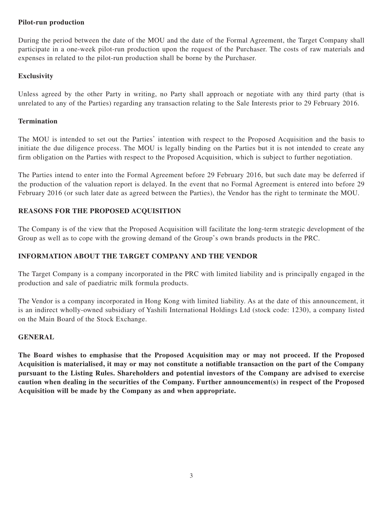### **Pilot-run production**

During the period between the date of the MOU and the date of the Formal Agreement, the Target Company shall participate in a one-week pilot-run production upon the request of the Purchaser. The costs of raw materials and expenses in related to the pilot-run production shall be borne by the Purchaser.

## **Exclusivity**

Unless agreed by the other Party in writing, no Party shall approach or negotiate with any third party (that is unrelated to any of the Parties) regarding any transaction relating to the Sale Interests prior to 29 February 2016.

#### **Termination**

The MOU is intended to set out the Parties' intention with respect to the Proposed Acquisition and the basis to initiate the due diligence process. The MOU is legally binding on the Parties but it is not intended to create any firm obligation on the Parties with respect to the Proposed Acquisition, which is subject to further negotiation.

The Parties intend to enter into the Formal Agreement before 29 February 2016, but such date may be deferred if the production of the valuation report is delayed. In the event that no Formal Agreement is entered into before 29 February 2016 (or such later date as agreed between the Parties), the Vendor has the right to terminate the MOU.

## **REASONS FOR THE PROPOSED ACQUISITION**

The Company is of the view that the Proposed Acquisition will facilitate the long-term strategic development of the Group as well as to cope with the growing demand of the Group's own brands products in the PRC.

## **INFORMATION ABOUT THE TARGET COMPANY AND THE VENDOR**

The Target Company is a company incorporated in the PRC with limited liability and is principally engaged in the production and sale of paediatric milk formula products.

The Vendor is a company incorporated in Hong Kong with limited liability. As at the date of this announcement, it is an indirect wholly-owned subsidiary of Yashili International Holdings Ltd (stock code: 1230), a company listed on the Main Board of the Stock Exchange.

#### **GENERAL**

**The Board wishes to emphasise that the Proposed Acquisition may or may not proceed. If the Proposed Acquisition is materialised, it may or may not constitute a notifiable transaction on the part of the Company pursuant to the Listing Rules. Shareholders and potential investors of the Company are advised to exercise caution when dealing in the securities of the Company. Further announcement(s) in respect of the Proposed Acquisition will be made by the Company as and when appropriate.**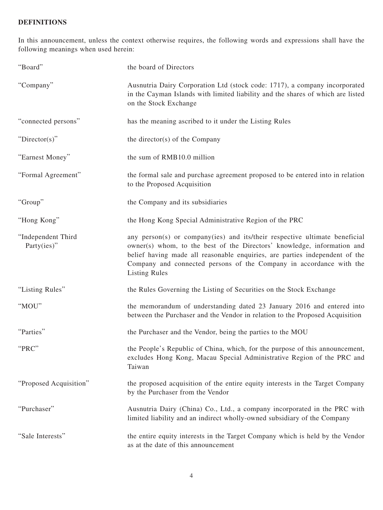# **DEFINITIONS**

In this announcement, unless the context otherwise requires, the following words and expressions shall have the following meanings when used herein:

| "Board"                               | the board of Directors                                                                                                                                                                                                                                                                                                              |
|---------------------------------------|-------------------------------------------------------------------------------------------------------------------------------------------------------------------------------------------------------------------------------------------------------------------------------------------------------------------------------------|
| "Company"                             | Ausnutria Dairy Corporation Ltd (stock code: 1717), a company incorporated<br>in the Cayman Islands with limited liability and the shares of which are listed<br>on the Stock Exchange                                                                                                                                              |
| "connected persons"                   | has the meaning ascribed to it under the Listing Rules                                                                                                                                                                                                                                                                              |
| " $Directory$ "                       | the director(s) of the Company                                                                                                                                                                                                                                                                                                      |
| "Earnest Money"                       | the sum of RMB10.0 million                                                                                                                                                                                                                                                                                                          |
| "Formal Agreement"                    | the formal sale and purchase agreement proposed to be entered into in relation<br>to the Proposed Acquisition                                                                                                                                                                                                                       |
| "Group"                               | the Company and its subsidiaries                                                                                                                                                                                                                                                                                                    |
| "Hong Kong"                           | the Hong Kong Special Administrative Region of the PRC                                                                                                                                                                                                                                                                              |
| "Independent Third<br>Party $(ies)$ " | any person(s) or company(ies) and its/their respective ultimate beneficial<br>owner(s) whom, to the best of the Directors' knowledge, information and<br>belief having made all reasonable enquiries, are parties independent of the<br>Company and connected persons of the Company in accordance with the<br><b>Listing Rules</b> |
| "Listing Rules"                       | the Rules Governing the Listing of Securities on the Stock Exchange                                                                                                                                                                                                                                                                 |
| "MOU"                                 | the memorandum of understanding dated 23 January 2016 and entered into<br>between the Purchaser and the Vendor in relation to the Proposed Acquisition                                                                                                                                                                              |
| "Parties"                             | the Purchaser and the Vendor, being the parties to the MOU                                                                                                                                                                                                                                                                          |
| "PRC"                                 | the People's Republic of China, which, for the purpose of this announcement,<br>excludes Hong Kong, Macau Special Administrative Region of the PRC and<br>Taiwan                                                                                                                                                                    |
| "Proposed Acquisition"                | the proposed acquisition of the entire equity interests in the Target Company<br>by the Purchaser from the Vendor                                                                                                                                                                                                                   |
| "Purchaser"                           | Ausnutria Dairy (China) Co., Ltd., a company incorporated in the PRC with<br>limited liability and an indirect wholly-owned subsidiary of the Company                                                                                                                                                                               |
| "Sale Interests"                      | the entire equity interests in the Target Company which is held by the Vendor<br>as at the date of this announcement                                                                                                                                                                                                                |